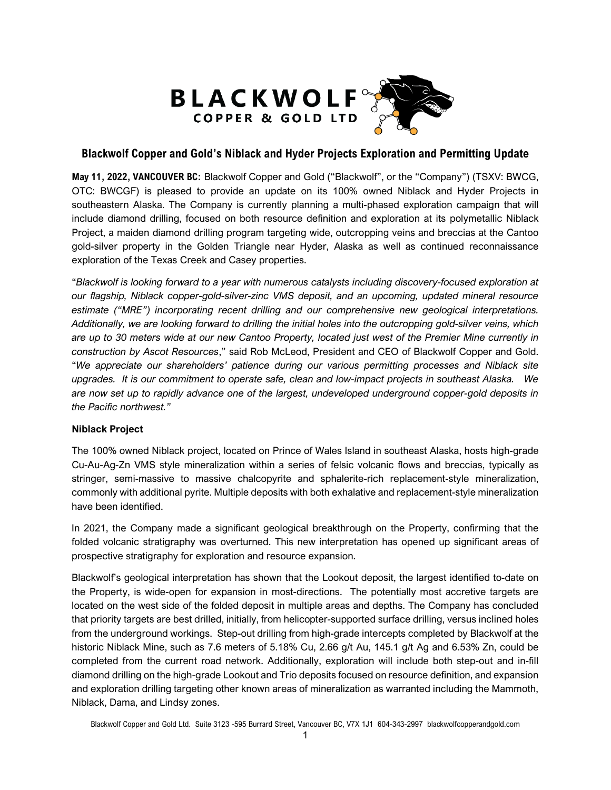

# **Blackwolf Copper and Gold's Niblack and Hyder Projects Exploration and Permitting Update**

**May 11, 2022, VANCOUVER BC:** Blackwolf Copper and Gold ("Blackwolf", or the "Company") (TSXV: BWCG, OTC: BWCGF) is pleased to provide an update on its 100% owned Niblack and Hyder Projects in southeastern Alaska. The Company is currently planning a multi-phased exploration campaign that will include diamond drilling, focused on both resource definition and exploration at its polymetallic Niblack Project, a maiden diamond drilling program targeting wide, outcropping veins and breccias at the Cantoo gold-silver property in the Golden Triangle near Hyder, Alaska as well as continued reconnaissance exploration of the Texas Creek and Casey properties.

"*Blackwolf is looking forward to a year with numerous catalysts including discovery-focused exploration at our flagship, Niblack copper-gold-silver-zinc VMS deposit, and an upcoming, updated mineral resource estimate ("MRE") incorporating recent drilling and our comprehensive new geological interpretations. Additionally, we are looking forward to drilling the initial holes into the outcropping gold-silver veins, which are up to 30 meters wide at our new Cantoo Property, located just west of the Premier Mine currently in construction by Ascot Resources*," said Rob McLeod, President and CEO of Blackwolf Copper and Gold. "*We appreciate our shareholders' patience during our various permitting processes and Niblack site upgrades. It is our commitment to operate safe, clean and low-impact projects in southeast Alaska. We are now set up to rapidly advance one of the largest, undeveloped underground copper-gold deposits in the Pacific northwest."*

## **Niblack Project**

The 100% owned Niblack project, located on Prince of Wales Island in southeast Alaska, hosts high-grade Cu-Au-Ag-Zn VMS style mineralization within a series of felsic volcanic flows and breccias, typically as stringer, semi-massive to massive chalcopyrite and sphalerite-rich replacement-style mineralization, commonly with additional pyrite. Multiple deposits with both exhalative and replacement-style mineralization have been identified.

In 2021, the Company made a significant geological breakthrough on the Property, confirming that the folded volcanic stratigraphy was overturned. This new interpretation has opened up significant areas of prospective stratigraphy for exploration and resource expansion.

Blackwolf's geological interpretation has shown that the Lookout deposit, the largest identified to-date on the Property, is wide-open for expansion in most-directions. The potentially most accretive targets are located on the west side of the folded deposit in multiple areas and depths. The Company has concluded that priority targets are best drilled, initially, from helicopter-supported surface drilling, versus inclined holes from the underground workings. Step-out drilling from high-grade intercepts completed by Blackwolf at the historic Niblack Mine, such as 7.6 meters of 5.18% Cu, 2.66 g/t Au, 145.1 g/t Ag and 6.53% Zn, could be completed from the current road network. Additionally, exploration will include both step-out and in-fill diamond drilling on the high-grade Lookout and Trio deposits focused on resource definition, and expansion and exploration drilling targeting other known areas of mineralization as warranted including the Mammoth, Niblack, Dama, and Lindsy zones.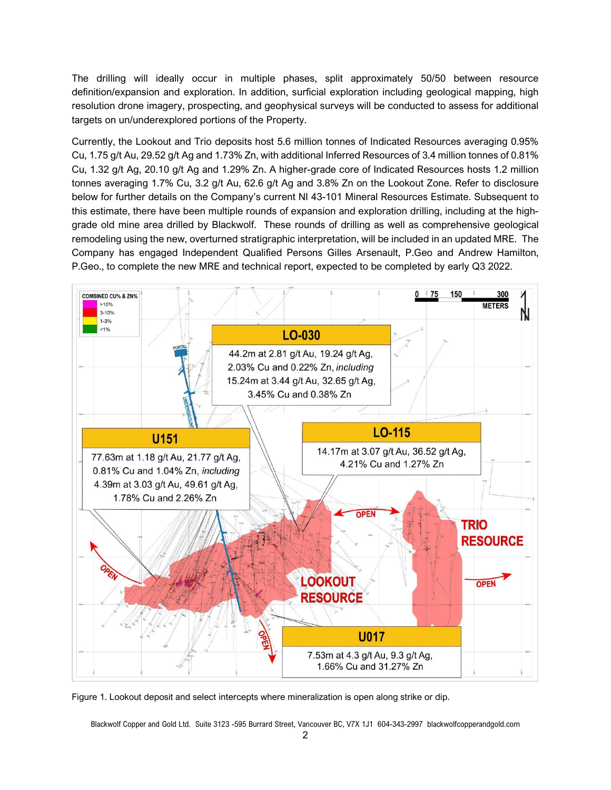The drilling will ideally occur in multiple phases, split approximately 50/50 between resource definition/expansion and exploration. In addition, surficial exploration including geological mapping, high resolution drone imagery, prospecting, and geophysical surveys will be conducted to assess for additional targets on un/underexplored portions of the Property.

Currently, the Lookout and Trio deposits host 5.6 million tonnes of Indicated Resources averaging 0.95% Cu, 1.75 g/t Au, 29.52 g/t Ag and 1.73% Zn, with additional Inferred Resources of 3.4 million tonnes of 0.81% Cu, 1.32 g/t Ag, 20.10 g/t Ag and 1.29% Zn. A higher-grade core of Indicated Resources hosts 1.2 million tonnes averaging 1.7% Cu, 3.2 g/t Au, 62.6 g/t Ag and 3.8% Zn on the Lookout Zone. Refer to disclosure below for further details on the Company's current NI 43-101 Mineral Resources Estimate. Subsequent to this estimate, there have been multiple rounds of expansion and exploration drilling, including at the highgrade old mine area drilled by Blackwolf. These rounds of drilling as well as comprehensive geological remodeling using the new, overturned stratigraphic interpretation, will be included in an updated MRE. The Company has engaged Independent Qualified Persons Gilles Arsenault, P.Geo and Andrew Hamilton, P.Geo., to complete the new MRE and technical report, expected to be completed by early Q3 2022.



Figure 1. Lookout deposit and select intercepts where mineralization is open along strike or dip.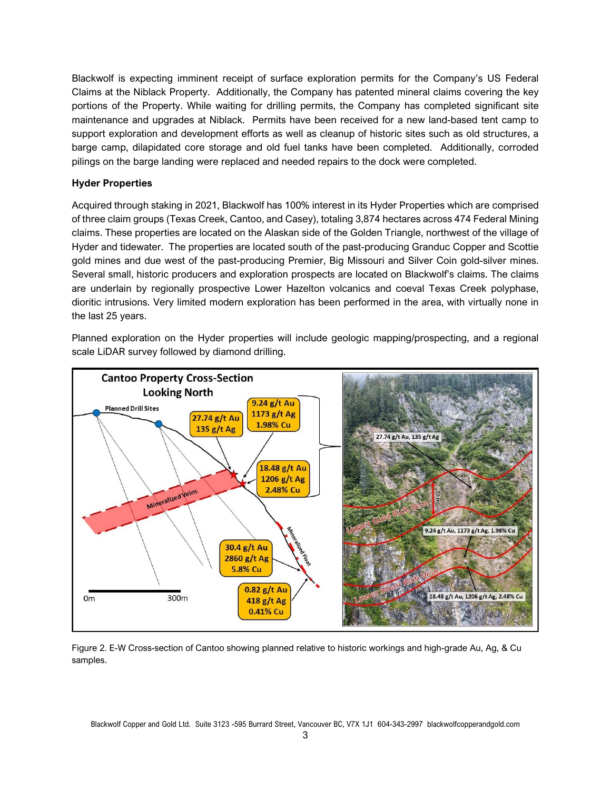Blackwolf is expecting imminent receipt of surface exploration permits for the Company's US Federal Claims at the Niblack Property. Additionally, the Company has patented mineral claims covering the key portions of the Property. While waiting for drilling permits, the Company has completed significant site maintenance and upgrades at Niblack. Permits have been received for a new land-based tent camp to support exploration and development efforts as well as cleanup of historic sites such as old structures, a barge camp, dilapidated core storage and old fuel tanks have been completed. Additionally, corroded pilings on the barge landing were replaced and needed repairs to the dock were completed.

## **Hyder Properties**

Acquired through staking in 2021, Blackwolf has 100% interest in its Hyder Properties which are comprised of three claim groups (Texas Creek, Cantoo, and Casey), totaling 3,874 hectares across 474 Federal Mining claims. These properties are located on the Alaskan side of the Golden Triangle, northwest of the village of Hyder and tidewater. The properties are located south of the past-producing Granduc Copper and Scottie gold mines and due west of the past-producing Premier, Big Missouri and Silver Coin gold-silver mines. Several small, historic producers and exploration prospects are located on Blackwolf's claims. The claims are underlain by regionally prospective Lower Hazelton volcanics and coeval Texas Creek polyphase, dioritic intrusions. Very limited modern exploration has been performed in the area, with virtually none in the last 25 years.

Planned exploration on the Hyder properties will include geologic mapping/prospecting, and a regional scale LiDAR survey followed by diamond drilling.



Figure 2. E-W Cross-section of Cantoo showing planned relative to historic workings and high-grade Au, Ag, & Cu samples.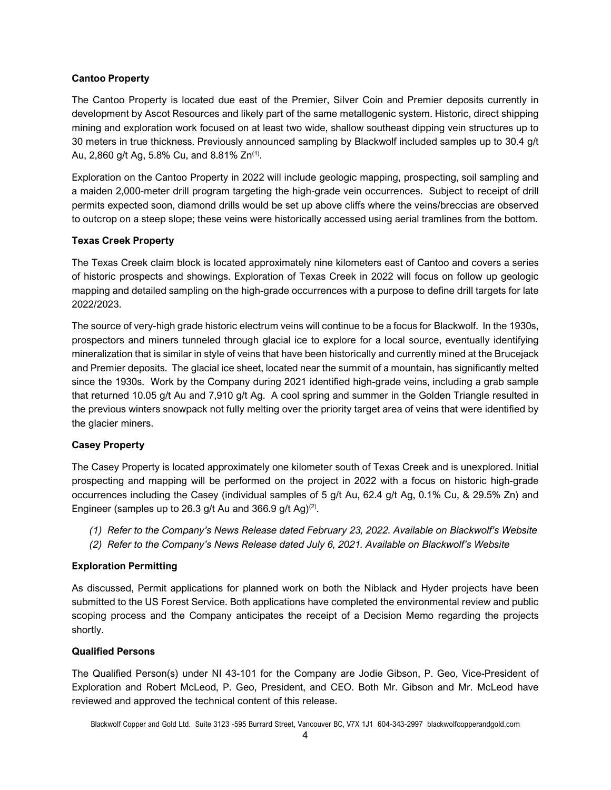### **Cantoo Property**

The Cantoo Property is located due east of the Premier, Silver Coin and Premier deposits currently in development by Ascot Resources and likely part of the same metallogenic system. Historic, direct shipping mining and exploration work focused on at least two wide, shallow southeast dipping vein structures up to 30 meters in true thickness. Previously announced sampling by Blackwolf included samples up to 30.4 g/t Au, 2,860 g/t Ag, 5.8% Cu, and 8.81% Zn<sup>(1)</sup>.

Exploration on the Cantoo Property in 2022 will include geologic mapping, prospecting, soil sampling and a maiden 2,000-meter drill program targeting the high-grade vein occurrences. Subject to receipt of drill permits expected soon, diamond drills would be set up above cliffs where the veins/breccias are observed to outcrop on a steep slope; these veins were historically accessed using aerial tramlines from the bottom.

## **Texas Creek Property**

The Texas Creek claim block is located approximately nine kilometers east of Cantoo and covers a series of historic prospects and showings. Exploration of Texas Creek in 2022 will focus on follow up geologic mapping and detailed sampling on the high-grade occurrences with a purpose to define drill targets for late 2022/2023.

The source of very-high grade historic electrum veins will continue to be a focus for Blackwolf. In the 1930s, prospectors and miners tunneled through glacial ice to explore for a local source, eventually identifying mineralization that is similar in style of veins that have been historically and currently mined at the Brucejack and Premier deposits. The glacial ice sheet, located near the summit of a mountain, has significantly melted since the 1930s. Work by the Company during 2021 identified high-grade veins, including a grab sample that returned 10.05 g/t Au and 7,910 g/t Ag. A cool spring and summer in the Golden Triangle resulted in the previous winters snowpack not fully melting over the priority target area of veins that were identified by the glacier miners.

## **Casey Property**

The Casey Property is located approximately one kilometer south of Texas Creek and is unexplored. Initial prospecting and mapping will be performed on the project in 2022 with a focus on historic high-grade occurrences including the Casey (individual samples of 5 g/t Au, 62.4 g/t Ag, 0.1% Cu, & 29.5% Zn) and Engineer (samples up to 26.3 g/t Au and 366.9 g/t Ag)(2).

- *(1) Refer to the Company's News Release dated February 23, 2022. Available on Blackwolf's Website*
- *(2) Refer to the Company's News Release dated July 6, 2021. Available on Blackwolf's Website*

#### **Exploration Permitting**

As discussed, Permit applications for planned work on both the Niblack and Hyder projects have been submitted to the US Forest Service. Both applications have completed the environmental review and public scoping process and the Company anticipates the receipt of a Decision Memo regarding the projects shortly.

#### **Qualified Persons**

The Qualified Person(s) under NI 43-101 for the Company are Jodie Gibson, P. Geo, Vice-President of Exploration and Robert McLeod, P. Geo, President, and CEO. Both Mr. Gibson and Mr. McLeod have reviewed and approved the technical content of this release.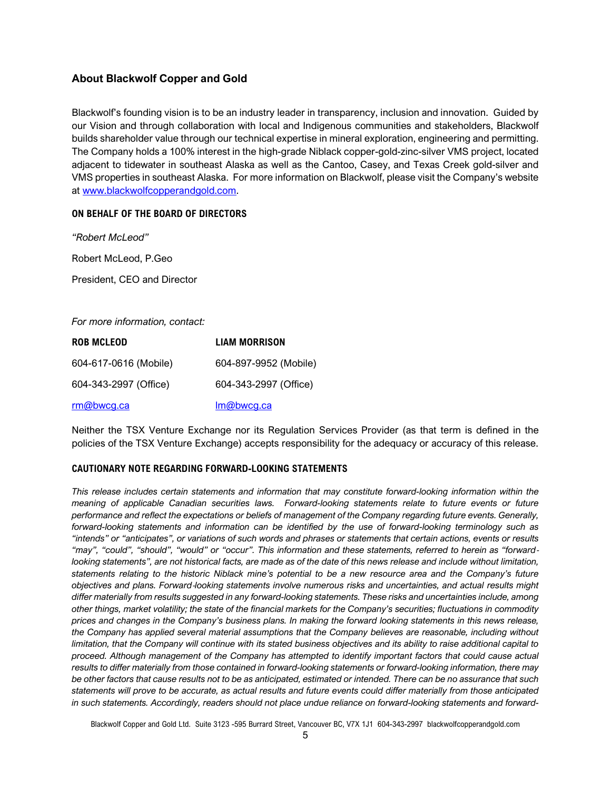# **About Blackwolf Copper and Gold**

Blackwolf's founding vision is to be an industry leader in transparency, inclusion and innovation. Guided by our Vision and through collaboration with local and Indigenous communities and stakeholders, Blackwolf builds shareholder value through our technical expertise in mineral exploration, engineering and permitting. The Company holds a 100% interest in the high-grade Niblack copper-gold-zinc-silver VMS project, located adjacent to tidewater in southeast Alaska as well as the Cantoo, Casey, and Texas Creek gold-silver and VMS properties in southeast Alaska. For more information on Blackwolf, please visit the Company's website at [www.blackwolfcopperandgold.com.](http://www.blackwolfcopperandgold.com/)

### **ON BEHALF OF THE BOARD OF DIRECTORS**

*"Robert McLeod"* Robert McLeod, P.Geo

President, CEO and Director

#### *For more information, contact:*

| <b>ROB MCLEOD</b>     | <b>LIAM MORRISON</b>  |
|-----------------------|-----------------------|
| 604-617-0616 (Mobile) | 604-897-9952 (Mobile) |
| 604-343-2997 (Office) | 604-343-2997 (Office) |
| rm@bwcg.ca            | Im@bwcg.ca            |

Neither the TSX Venture Exchange nor its Regulation Services Provider (as that term is defined in the policies of the TSX Venture Exchange) accepts responsibility for the adequacy or accuracy of this release.

#### **CAUTIONARY NOTE REGARDING FORWARD-LOOKING STATEMENTS**

*This release includes certain statements and information that may constitute forward-looking information within the meaning of applicable Canadian securities laws. Forward-looking statements relate to future events or future performance and reflect the expectations or beliefs of management of the Company regarding future events. Generally, forward-looking statements and information can be identified by the use of forward-looking terminology such as "intends" or "anticipates", or variations of such words and phrases or statements that certain actions, events or results "may", "could", "should", "would" or "occur". This information and these statements, referred to herein as "forward*‐ looking statements", are not historical facts, are made as of the date of this news release and include without limitation, *statements relating to the historic Niblack mine's potential to be a new resource area and the Company's future objectives and plans. Forward*‐*looking statements involve numerous risks and uncertainties, and actual results might differ materially from results suggested in any forward-looking statements. These risks and uncertainties include, among other things, market volatility; the state of the financial markets for the Company's securities; fluctuations in commodity prices and changes in the Company's business plans. In making the forward looking statements in this news release,*  the Company has applied several material assumptions that the Company believes are reasonable, including without *limitation, that the Company will continue with its stated business objectives and its ability to raise additional capital to proceed. Although management of the Company has attempted to identify important factors that could cause actual results to differ materially from those contained in forward-looking statements or forward-looking information, there may be other factors that cause results not to be as anticipated, estimated or intended. There can be no assurance that such statements will prove to be accurate, as actual results and future events could differ materially from those anticipated in such statements. Accordingly, readers should not place undue reliance on forward-looking statements and forward-*

Blackwolf Copper and Gold Ltd. Suite 3123 -595 Burrard Street, Vancouver BC, V7X 1J1 604-343-2997 blackwolfcopperandgold.com